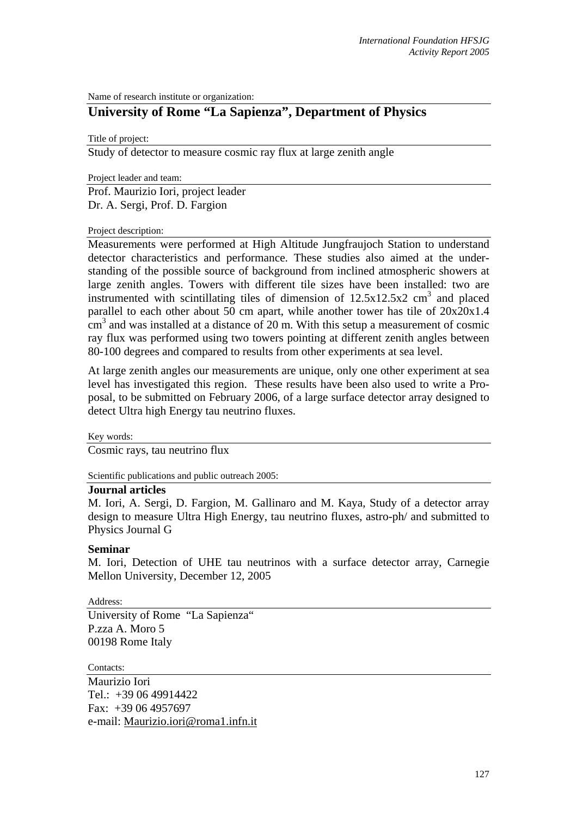Name of research institute or organization:

## **University of Rome "La Sapienza", Department of Physics**

Title of project:

Study of detector to measure cosmic ray flux at large zenith angle

Project leader and team:

Prof. Maurizio Iori, project leader Dr. A. Sergi, Prof. D. Fargion

Project description:

Measurements were performed at High Altitude Jungfraujoch Station to understand detector characteristics and performance. These studies also aimed at the understanding of the possible source of background from inclined atmospheric showers at large zenith angles. Towers with different tile sizes have been installed: two are instrumented with scintillating tiles of dimension of  $12.5x12.5x2$  cm<sup>3</sup> and placed parallel to each other about 50 cm apart, while another tower has tile of 20x20x1.4  $\text{cm}^3$  and was installed at a distance of 20 m. With this setup a measurement of cosmic ray flux was performed using two towers pointing at different zenith angles between 80-100 degrees and compared to results from other experiments at sea level.

At large zenith angles our measurements are unique, only one other experiment at sea level has investigated this region. These results have been also used to write a Proposal, to be submitted on February 2006, of a large surface detector array designed to detect Ultra high Energy tau neutrino fluxes.

Key words:

Cosmic rays, tau neutrino flux

Scientific publications and public outreach 2005:

## **Journal articles**

M. Iori, A. Sergi, D. Fargion, M. Gallinaro and M. Kaya, Study of a detector array design to measure Ultra High Energy, tau neutrino fluxes, astro-ph/ and submitted to Physics Journal G

## **Seminar**

M. Iori, Detection of UHE tau neutrinos with a surface detector array, Carnegie Mellon University, December 12, 2005

Address:

University of Rome "La Sapienza" P.zza A. Moro 5 00198 Rome Italy

Contacts:

Maurizio Iori Tel.: +39 06 49914422 Fax: +39 06 4957697 e-mail: Maurizio.iori@roma1.infn.it